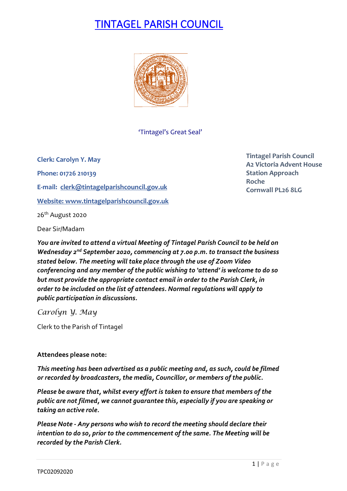# TINTAGEL PARISH COUNCIL



'Tintagel's Great Seal'

**Clerk: Carolyn Y. May Phone: 01726 210139 E-mail: [clerk@tintagelparishcouncil.gov.uk](mailto:clerk@tintagelparishcouncil.gov.uk) Website[: www.tintagelparishcouncil.gov.uk](http://www.tintagelparishcouncil.gov.uk/)**

26th August 2020

Dear Sir/Madam

*You are invited to attend a virtual Meeting of Tintagel Parish Council to be held on Wednesday 2nd September 2020, commencing at 7.00 p.m. to transact the business stated below. The meeting will take place through the use of Zoom Video conferencing and any member of the public wishing to 'attend' is welcome to do so but must provide the appropriate contact email in order to the Parish Clerk, in order to be included on the list of attendees. Normal regulations will apply to public participation in discussions.*

*Carolyn Y. May*

Clerk to the Parish of Tintagel

#### **Attendees please note:**

*This meeting has been advertised as a public meeting and, as such, could be filmed or recorded by broadcasters, the media, Councillor, or members of the public.*

*Please be aware that, whilst every effort is taken to ensure that members of the public are not filmed, we cannot guarantee this, especially if you are speaking or taking an active role.*

*Please Note - Any persons who wish to record the meeting should declare their intention to do so, prior to the commencement of the same. The Meeting will be recorded by the Parish Clerk.*

**Tintagel Parish Council A2 Victoria Advent House Station Approach Roche Cornwall PL26 8LG**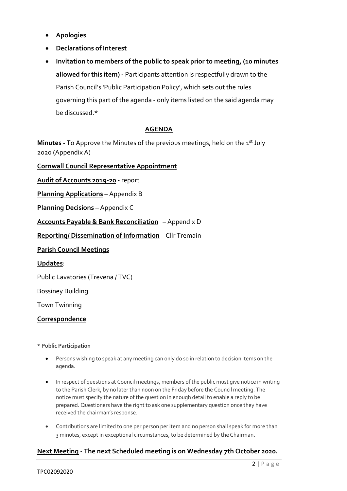- **Apologies**
- **Declarations of Interest**
- **Invitation to members of the public to speak prior to meeting, (10 minutes allowed for this item) -** Participants attention is respectfully drawn to the Parish Council's 'Public Participation Policy', which sets out the rules governing this part of the agenda - only items listed on the said agenda may be discussed.\*

#### **AGENDA**

**Minutes** - To Approve the Minutes of the previous meetings, held on the 1<sup>st</sup> July 2020 (Appendix A)

**Cornwall Council Representative Appointment**

**Audit of Accounts 2019-20 -** report

**Planning Applications** – Appendix B

**Planning Decisions** – Appendix C

**Accounts Payable & Bank Reconciliation** – Appendix D

**Reporting/ Dissemination of Information** – Cllr Tremain

**Parish Council Meetings**

**Updates**:

Public Lavatories (Trevena / TVC)

Bossiney Building

Town Twinning

#### **Correspondence**

#### **\* Public Participation**

- Persons wishing to speak at any meeting can only do so in relation to decision items on the agenda.
- In respect of questions at Council meetings, members of the public must give notice in writing to the Parish Clerk, by no later than noon on the Friday before the Council meeting. The notice must specify the nature of the question in enough detail to enable a reply to be prepared. Questioners have the right to ask one supplementary question once they have received the chairman's response.
- Contributions are limited to one per person per item and no person shall speak for more than 3 minutes, except in exceptional circumstances, to be determined by the Chairman.

#### **Next Meeting - The next Scheduled meeting is on Wednesday 7th October 2020.**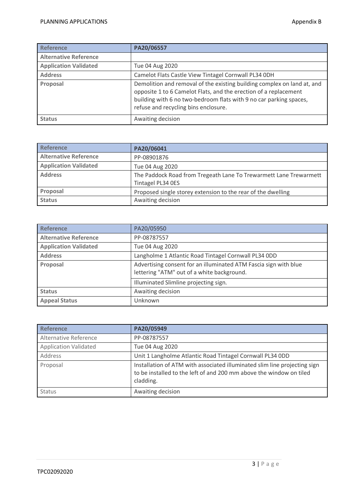| <b>Reference</b>             | PA20/06557                                                                                                                                                                                                                                                |
|------------------------------|-----------------------------------------------------------------------------------------------------------------------------------------------------------------------------------------------------------------------------------------------------------|
| <b>Alternative Reference</b> |                                                                                                                                                                                                                                                           |
| <b>Application Validated</b> | Tue 04 Aug 2020                                                                                                                                                                                                                                           |
| <b>Address</b>               | Camelot Flats Castle View Tintagel Cornwall PL34 0DH                                                                                                                                                                                                      |
| Proposal                     | Demolition and removal of the existing building complex on land at, and<br>opposite 1 to 6 Camelot Flats, and the erection of a replacement<br>building with 6 no two-bedroom flats with 9 no car parking spaces,<br>refuse and recycling bins enclosure. |
| <b>Status</b>                | Awaiting decision                                                                                                                                                                                                                                         |

| Reference                    | PA20/06041                                                                             |
|------------------------------|----------------------------------------------------------------------------------------|
| <b>Alternative Reference</b> | PP-08901876                                                                            |
| <b>Application Validated</b> | Tue 04 Aug 2020                                                                        |
| <b>Address</b>               | The Paddock Road from Tregeath Lane To Trewarmett Lane Trewarmett<br>Tintagel PL34 OES |
| Proposal                     | Proposed single storey extension to the rear of the dwelling                           |
| <b>Status</b>                | Awaiting decision                                                                      |

| <b>Reference</b>             | PA20/05950                                                                                                     |
|------------------------------|----------------------------------------------------------------------------------------------------------------|
| <b>Alternative Reference</b> | PP-08787557                                                                                                    |
| <b>Application Validated</b> | Tue 04 Aug 2020                                                                                                |
| <b>Address</b>               | Langholme 1 Atlantic Road Tintagel Cornwall PL34 ODD                                                           |
| Proposal                     | Advertising consent for an illuminated ATM Fascia sign with blue<br>lettering "ATM" out of a white background. |
|                              | Illuminated Slimline projecting sign.                                                                          |
| <b>Status</b>                | Awaiting decision                                                                                              |
| <b>Appeal Status</b>         | Unknown                                                                                                        |

| Reference                    | PA20/05949                                                                                                                                                    |
|------------------------------|---------------------------------------------------------------------------------------------------------------------------------------------------------------|
| Alternative Reference        | PP-08787557                                                                                                                                                   |
| <b>Application Validated</b> | Tue 04 Aug 2020                                                                                                                                               |
| Address                      | Unit 1 Langholme Atlantic Road Tintagel Cornwall PL34 ODD                                                                                                     |
| Proposal                     | Installation of ATM with associated illuminated slim line projecting sign<br>to be installed to the left of and 200 mm above the window on tiled<br>cladding. |
| <b>Status</b>                | Awaiting decision                                                                                                                                             |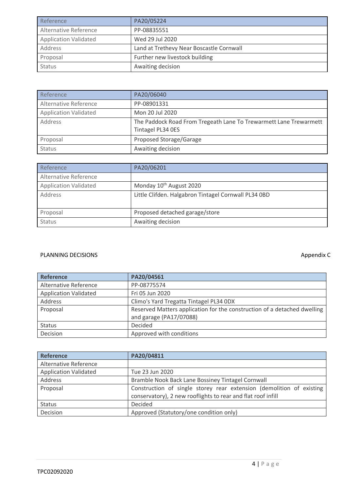| Reference                    | PA20/05224                               |  |
|------------------------------|------------------------------------------|--|
| Alternative Reference        | PP-08835551                              |  |
| <b>Application Validated</b> | Wed 29 Jul 2020                          |  |
| Address                      | Land at Trethevy Near Boscastle Cornwall |  |
| Proposal                     | Further new livestock building           |  |
| <b>Status</b>                | Awaiting decision                        |  |

| Reference                    | PA20/06040                                                                             |
|------------------------------|----------------------------------------------------------------------------------------|
| Alternative Reference        | PP-08901331                                                                            |
| <b>Application Validated</b> | Mon 20 Jul 2020                                                                        |
| Address                      | The Paddock Road From Tregeath Lane To Trewarmett Lane Trewarmett<br>Tintagel PL34 OES |
| Proposal                     | Proposed Storage/Garage                                                                |
| Status                       | Awaiting decision                                                                      |

| Reference                    | PA20/06201                                           |
|------------------------------|------------------------------------------------------|
| Alternative Reference        |                                                      |
| <b>Application Validated</b> | Monday 10 <sup>th</sup> August 2020                  |
| Address                      | Little Clifden. Halgabron Tintagel Cornwall PL34 OBD |
| Proposal                     | Proposed detached garage/store                       |
| <b>Status</b>                | Awaiting decision                                    |

### PLANNING DECISIONS **Appendix C**

| <b>Reference</b>             | PA20/04561                                                                                          |
|------------------------------|-----------------------------------------------------------------------------------------------------|
| Alternative Reference        | PP-08775574                                                                                         |
| <b>Application Validated</b> | Fri 05 Jun 2020                                                                                     |
| Address                      | Climo's Yard Tregatta Tintagel PL34 ODX                                                             |
| Proposal                     | Reserved Matters application for the construction of a detached dwelling<br>and garage (PA17/07088) |
| <b>Status</b>                | Decided                                                                                             |
| Decision                     | Approved with conditions                                                                            |

| <b>Reference</b>             | PA20/04811                                                           |  |  |
|------------------------------|----------------------------------------------------------------------|--|--|
| Alternative Reference        |                                                                      |  |  |
| <b>Application Validated</b> | Tue 23 Jun 2020                                                      |  |  |
| Address                      | Bramble Nook Back Lane Bossiney Tintagel Cornwall                    |  |  |
| Proposal                     | Construction of single storey rear extension (demolition of existing |  |  |
|                              | conservatory), 2 new rooflights to rear and flat roof infill         |  |  |
| <b>Status</b>                | Decided                                                              |  |  |
| Decision                     | Approved (Statutory/one condition only)                              |  |  |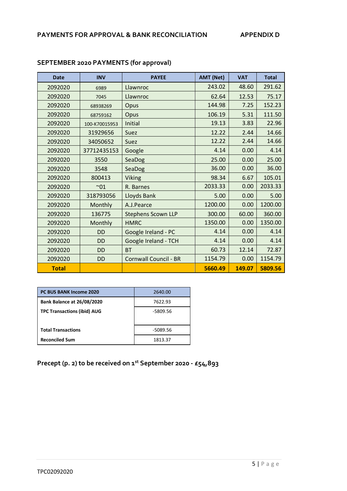| <b>Date</b>  | <b>INV</b>    | <b>PAYEE</b>                 | <b>AMT (Net)</b> | <b>VAT</b> | <b>Total</b> |
|--------------|---------------|------------------------------|------------------|------------|--------------|
| 2092020      | 6989          | Llawnroc                     | 243.02           | 48.60      | 291.62       |
| 2092020      | 7045          | Llawnroc                     | 62.64            | 12.53      | 75.17        |
| 2092020      | 68938269      | Opus                         | 144.98           | 7.25       | 152.23       |
| 2092020      | 68759162      | Opus                         | 106.19           | 5.31       | 111.50       |
| 2092020      | 100-K70015953 | Initial                      | 19.13            | 3.83       | 22.96        |
| 2092020      | 31929656      | Suez                         | 12.22            | 2.44       | 14.66        |
| 2092020      | 34050652      | Suez                         | 12.22            | 2.44       | 14.66        |
| 2092020      | 37712435153   | Google                       | 4.14             | 0.00       | 4.14         |
| 2092020      | 3550          | SeaDog                       | 25.00            | 0.00       | 25.00        |
| 2092020      | 3548          | SeaDog                       | 36.00            | 0.00       | 36.00        |
| 2092020      | 800413        | <b>Viking</b>                | 98.34            | 6.67       | 105.01       |
| 2092020      | $^{\sim}01$   | R. Barnes                    | 2033.33          | 0.00       | 2033.33      |
| 2092020      | 318793056     | Lloyds Bank                  | 5.00             | 0.00       | 5.00         |
| 2092020      | Monthly       | A.J.Pearce                   | 1200.00          | 0.00       | 1200.00      |
| 2092020      | 136775        | <b>Stephens Scown LLP</b>    | 300.00           | 60.00      | 360.00       |
| 2092020      | Monthly       | <b>HMRC</b>                  | 1350.00          | 0.00       | 1350.00      |
| 2092020      | <b>DD</b>     | Google Ireland - PC          | 4.14             | 0.00       | 4.14         |
| 2092020      | <b>DD</b>     | Google Ireland - TCH         | 4.14             | 0.00       | 4.14         |
| 2092020      | <b>DD</b>     | <b>BT</b>                    | 60.73            | 12.14      | 72.87        |
| 2092020      | <b>DD</b>     | <b>Cornwall Council - BR</b> | 1154.79          | 0.00       | 1154.79      |
| <b>Total</b> |               |                              | 5660.49          | 149.07     | 5809.56      |

## **SEPTEMBER 2020 PAYMENTS (for approval)**

| <b>PC BUS BANK Income 2020</b>     | 2640.00  |
|------------------------------------|----------|
| <b>Bank Balance at 26/08/2020</b>  | 7622.93  |
| <b>TPC Transactions (ibid) AUG</b> | -5809.56 |
|                                    |          |
| <b>Total Transactions</b>          | -5089.56 |
| <b>Reconciled Sum</b>              | 1813.37  |

**Precept (p. 2) to be received on 1st September 2020 - £54,893**